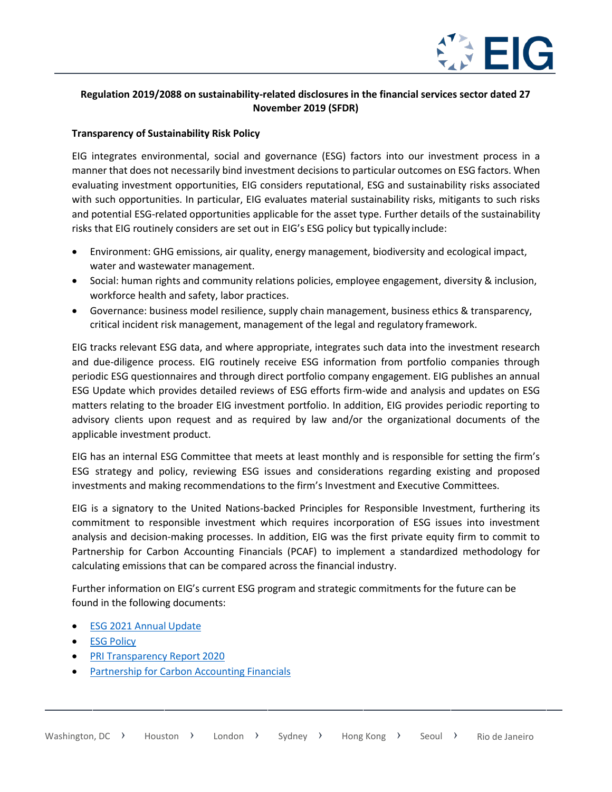

## **Regulation 2019/2088 on sustainability-related disclosures in the financial services sector dated 27 November 2019 (SFDR)**

## **Transparency of Sustainability Risk Policy**

EIG integrates environmental, social and governance (ESG) factors into our investment process in a manner that does not necessarily bind investment decisions to particular outcomes on ESG factors. When evaluating investment opportunities, EIG considers reputational, ESG and sustainability risks associated with such opportunities. In particular, EIG evaluates material sustainability risks, mitigants to such risks and potential ESG-related opportunities applicable for the asset type. Further details of the sustainability risks that EIG routinely considers are set out in EIG's ESG policy but typically include:

- Environment: GHG emissions, air quality, energy management, biodiversity and ecological impact, water and wastewater management.
- Social: human rights and community relations policies, employee engagement, diversity & inclusion, workforce health and safety, labor practices.
- Governance: business model resilience, supply chain management, business ethics & transparency, critical incident risk management, management of the legal and regulatory framework.

EIG tracks relevant ESG data, and where appropriate, integrates such data into the investment research and due-diligence process. EIG routinely receive ESG information from portfolio companies through periodic ESG questionnaires and through direct portfolio company engagement. EIG publishes an annual ESG Update which provides detailed reviews of ESG efforts firm-wide and analysis and updates on ESG matters relating to the broader EIG investment portfolio. In addition, EIG provides periodic reporting to advisory clients upon request and as required by law and/or the organizational documents of the applicable investment product.

EIG has an internal ESG Committee that meets at least monthly and is responsible for setting the firm's ESG strategy and policy, reviewing ESG issues and considerations regarding existing and proposed investments and making recommendations to the firm's Investment and Executive Committees.

EIG is a signatory to the United Nations-backed Principles for Responsible Investment, furthering its commitment to responsible investment which requires incorporation of ESG issues into investment analysis and decision-making processes. In addition, EIG was the first private equity firm to commit to Partnership for Carbon Accounting Financials (PCAF) to implement a standardized methodology for calculating emissions that can be compared across the financial industry.

Further information on EIG's current ESG program and strategic commitments for the future can be found in the following documents:

- **[ESG 2021 Annual](https://eigpartners.com/wp-content/uploads/2021/10/ESG-Update-September-2021_vFinal-Web-2-1.pdf) Update**
- **ESG [Policy](https://eigpartners.com/wp-content/uploads/2021/07/EIG-ESG-Policy-July-2021-vF.pdf)**
- [PRI Transparency Report](https://stpublic.blob.core.windows.net/pri-ra/2020/Investor/Public-TR/(Merged)_Public_Transparency_Report_EIG%20Global%20Energy%20Partners_2020.pdf) 2020
- [Partnership for Carbon Accounting](https://carbonaccountingfinancials.com/financial-institutions-taking-action) Financials